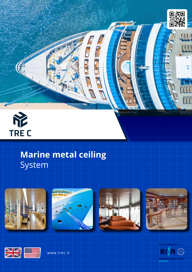



# **Marine metal ceiling** System













www.trec.it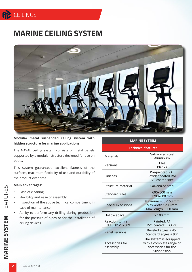## **RE** CEILINGS

## **MARINE CEILING SYSTEM**



**Modular metal suspended ceiling system with hidden structure for marine applications**

The NAVAL ceiling system consists of metal panels supported by a modular structure designed for use on boats.

This system guarantees excellent flatness of the surfaces, maximum flexibility of use and durability of the product over time.

#### **Main advantages:**

- Ease of cleaning;
- Flexibility and ease of assembly;
- Inspection of the above technical compartment in case of maintenance;
- Ability to perform any drilling during production for the passage of pipes or for the installation of ceiling devices.

#### **MARINE SYSTEM**

#### **Technical features**

| Materials                           | Galvanized steel<br>Aluminum                                                            |
|-------------------------------------|-----------------------------------------------------------------------------------------|
| Versions                            | <b>Tiles</b><br>Planks                                                                  |
| <b>Finishes</b>                     | Pre-painted RAL<br>Powder coated RAL<br><b>PVC coated steel</b>                         |
| Structure material                  | Galvanized steel                                                                        |
| Standard sizes                      | 600x600 mm<br>1200x600 mm                                                               |
| Special executions                  | Minimum 400x150 mm<br>Max width 1200 mm<br>Max length 3000 mm                           |
| Hollow space                        | $>100$ mm                                                                               |
| Reaction to fire<br>EN 13501-1:2009 | Painted: A1<br>PVC coated: B s3, d0                                                     |
| <b>Panel versions</b>               | Beveled edges a 45°<br>Standard edges a 90°                                             |
| Accessories for<br>assembly         | The system is equipped<br>with a complete range of<br>accessories for the<br>Suspension |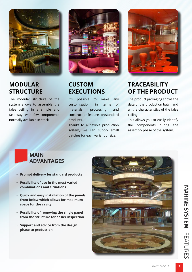

#### **MODULAR STRUCTURE**

The modular structure of the system allows to assemble the false ceiling in a simple and fast way, with few components normally available in stock.



### **CUSTOM EXECUTIONS**

It's possible to make any customization, in terms of materials, processing and construction features on standard products.

Thanks to a flexible production system, we can supply small batches for each variant or size.



## **TRACEABILITY OF THE PRODUCT**

The product packaging shows the data of the production batch and all the characteristics of the false ceiling.

This allows you to easily identify the components during the assembly phase of the system.

#### **MAIN ADVANTAGES**

- **• Prompt delivery for standard products**
- **• Possibility of use in the most varied combinations and situations**
- **• Quick and easy installation of the panels from below which allows for maximum space for the cavity**
- **• Possibility of removing the single panel from the structure for easier inspection**
- **• Support and advice from the design phase to production**

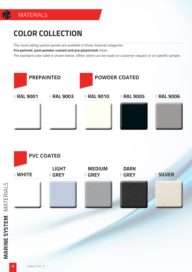# **COLOR COLLECTION**

**MATERIALS** 

The naval ceiling system panels are available in three material categories:

**Pre-painted, post-powder-coated and pre-plasticized** sheet.

The standard color table is shown below. Other colors can be made on customer request or on specific sample.



**MARINE SYSTEM** MATERIALS

**MARINE SYSTEM MATERIALS**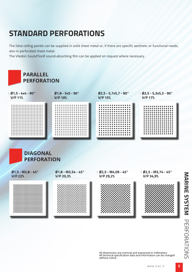## **STANDARD PERFORATIONS**

The false ceiling panels can be supplied in solid sheet metal or, if there are specific aesthetic or functional needs, also in perforated sheet metal.

The Viledon SoundTex® sound-absorbing film can be applied on request where necessary.









All dimensions are nominal and expressed in millimeters All technical specification data and information can be changed without notice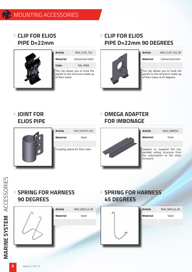**CLIP FOR ELIOS PIPE D=22mm**



| Article                                                                              | NAV CLIP T22     |
|--------------------------------------------------------------------------------------|------------------|
| Material                                                                             | Galvanized steel |
| Color                                                                                | RAI 9005         |
| The clip allows you to hook the<br>panels to the structure made up<br>of Elios tubes |                  |

#### **CLIP FOR ELIOS PIPE D=22mm 90 DEGREES**



| Article | NAV CLIP T22 90 |
|---------|-----------------|
|         |                 |

**Material** Galvanized steel

The clip allows you to hook the panels to the structure made up of Elios tubes at 45 degrees

#### **JOINT FOR ELIOS PIPE**



| Article  | NAV GIUNTO D22                  |
|----------|---------------------------------|
| Material | Steel                           |
|          |                                 |
|          | Coupling sleeve for Elios tube. |

#### **OMEGA ADAPTER FOR IMBONAGE**



| Article  | NAV OMEGA                                                    |
|----------|--------------------------------------------------------------|
| Material | Steel                                                        |
|          |                                                              |
|          | Adapter to suspend the sus-<br>pended ceiling structure from |

#### **SPRING FOR HARNESS 90 DEGREES**



### **SPRING FOR HARNESS 45 DEGREES**

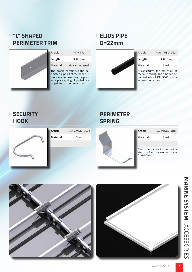#### **"L" SHAPED PERIMETER TRIM**



| Article  | NAV PFL          |
|----------|------------------|
| Length   | 3000 mm          |
| Material | Galvanized steel |

The profile constitutes the perimeter support of the panels. It has a seat for inserting the pressure plate spring. Supplied raw or painted in the same color.

#### **ELIOS PIPE D=22mm**



#### **SECURITY HOOK**



# **Article** NAV\_GANCIO\_SICUR **Material** Steel

#### **PERIMETER SPRING**